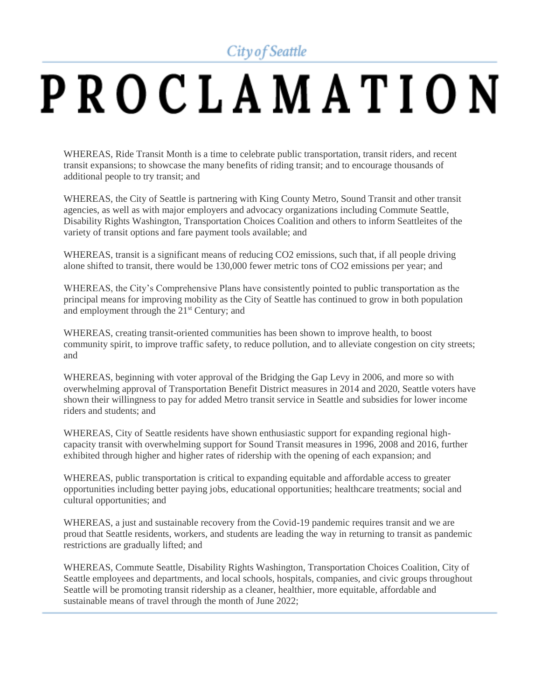## City of Seattle

## PROCLAMATION

WHEREAS, Ride Transit Month is a time to celebrate public transportation, transit riders, and recent transit expansions; to showcase the many benefits of riding transit; and to encourage thousands of additional people to try transit; and

WHEREAS, the City of Seattle is partnering with King County Metro, Sound Transit and other transit agencies, as well as with major employers and advocacy organizations including Commute Seattle, Disability Rights Washington, Transportation Choices Coalition and others to inform Seattleites of the variety of transit options and fare payment tools available; and

WHEREAS, transit is a significant means of reducing CO2 emissions, such that, if all people driving alone shifted to transit, there would be 130,000 fewer metric tons of CO2 emissions per year; and

WHEREAS, the City's Comprehensive Plans have consistently pointed to public transportation as the principal means for improving mobility as the City of Seattle has continued to grow in both population and employment through the 21<sup>st</sup> Century; and

WHEREAS, creating transit-oriented communities has been shown to improve health, to boost community spirit, to improve traffic safety, to reduce pollution, and to alleviate congestion on city streets; and

WHEREAS, beginning with voter approval of the Bridging the Gap Levy in 2006, and more so with overwhelming approval of Transportation Benefit District measures in 2014 and 2020, Seattle voters have shown their willingness to pay for added Metro transit service in Seattle and subsidies for lower income riders and students; and

WHEREAS, City of Seattle residents have shown enthusiastic support for expanding regional highcapacity transit with overwhelming support for Sound Transit measures in 1996, 2008 and 2016, further exhibited through higher and higher rates of ridership with the opening of each expansion; and

WHEREAS, public transportation is critical to expanding equitable and affordable access to greater opportunities including better paying jobs, educational opportunities; healthcare treatments; social and cultural opportunities; and

WHEREAS, a just and sustainable recovery from the Covid-19 pandemic requires transit and we are proud that Seattle residents, workers, and students are leading the way in returning to transit as pandemic restrictions are gradually lifted; and

WHEREAS, Commute Seattle, Disability Rights Washington, Transportation Choices Coalition, City of Seattle employees and departments, and local schools, hospitals, companies, and civic groups throughout Seattle will be promoting transit ridership as a cleaner, healthier, more equitable, affordable and sustainable means of travel through the month of June 2022;